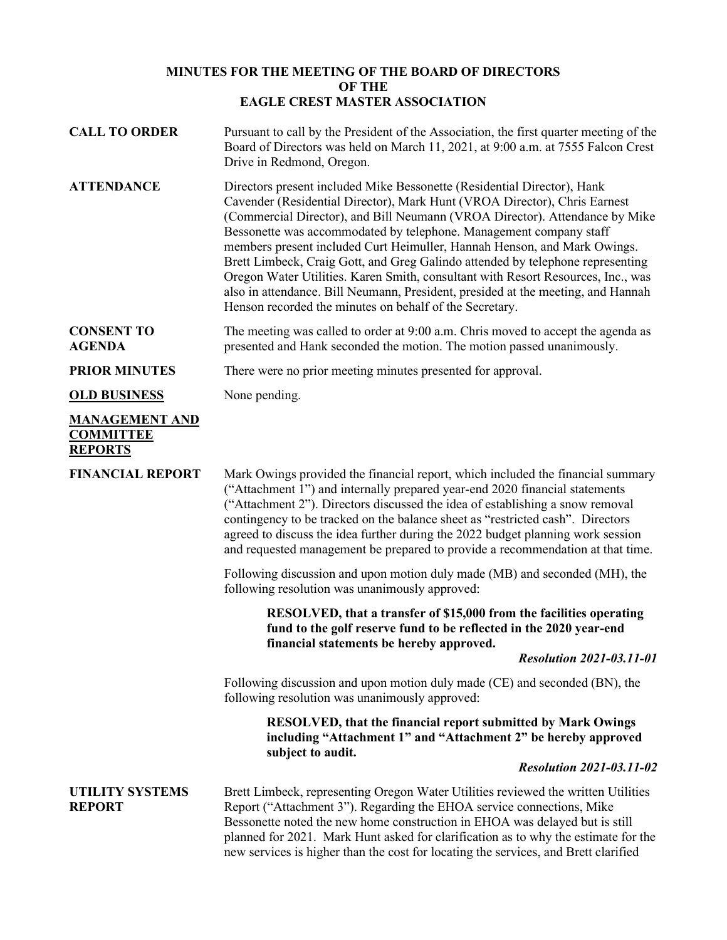## **MINUTES FOR THE MEETING OF THE BOARD OF DIRECTORS OF THE EAGLE CREST MASTER ASSOCIATION**

| <b>CALL TO ORDER</b>                                        | Pursuant to call by the President of the Association, the first quarter meeting of the<br>Board of Directors was held on March 11, 2021, at 9:00 a.m. at 7555 Falcon Crest<br>Drive in Redmond, Oregon.                                                                                                                                                                                                                                                                                                                                                                                                                                                                                                    |
|-------------------------------------------------------------|------------------------------------------------------------------------------------------------------------------------------------------------------------------------------------------------------------------------------------------------------------------------------------------------------------------------------------------------------------------------------------------------------------------------------------------------------------------------------------------------------------------------------------------------------------------------------------------------------------------------------------------------------------------------------------------------------------|
| <b>ATTENDANCE</b>                                           | Directors present included Mike Bessonette (Residential Director), Hank<br>Cavender (Residential Director), Mark Hunt (VROA Director), Chris Earnest<br>(Commercial Director), and Bill Neumann (VROA Director). Attendance by Mike<br>Bessonette was accommodated by telephone. Management company staff<br>members present included Curt Heimuller, Hannah Henson, and Mark Owings.<br>Brett Limbeck, Craig Gott, and Greg Galindo attended by telephone representing<br>Oregon Water Utilities. Karen Smith, consultant with Resort Resources, Inc., was<br>also in attendance. Bill Neumann, President, presided at the meeting, and Hannah<br>Henson recorded the minutes on behalf of the Secretary. |
| <b>CONSENT TO</b><br><b>AGENDA</b>                          | The meeting was called to order at 9:00 a.m. Chris moved to accept the agenda as<br>presented and Hank seconded the motion. The motion passed unanimously.                                                                                                                                                                                                                                                                                                                                                                                                                                                                                                                                                 |
| <b>PRIOR MINUTES</b>                                        | There were no prior meeting minutes presented for approval.                                                                                                                                                                                                                                                                                                                                                                                                                                                                                                                                                                                                                                                |
| <b>OLD BUSINESS</b>                                         | None pending.                                                                                                                                                                                                                                                                                                                                                                                                                                                                                                                                                                                                                                                                                              |
| <b>MANAGEMENT AND</b><br><b>COMMITTEE</b><br><b>REPORTS</b> |                                                                                                                                                                                                                                                                                                                                                                                                                                                                                                                                                                                                                                                                                                            |
| <b>FINANCIAL REPORT</b>                                     | Mark Owings provided the financial report, which included the financial summary<br>("Attachment 1") and internally prepared year-end 2020 financial statements<br>("Attachment 2"). Directors discussed the idea of establishing a snow removal<br>contingency to be tracked on the balance sheet as "restricted cash". Directors<br>agreed to discuss the idea further during the 2022 budget planning work session<br>and requested management be prepared to provide a recommendation at that time.                                                                                                                                                                                                     |
|                                                             | Following discussion and upon motion duly made (MB) and seconded (MH), the<br>following resolution was unanimously approved:                                                                                                                                                                                                                                                                                                                                                                                                                                                                                                                                                                               |
|                                                             | RESOLVED, that a transfer of \$15,000 from the facilities operating<br>fund to the golf reserve fund to be reflected in the 2020 year-end<br>financial statements be hereby approved.                                                                                                                                                                                                                                                                                                                                                                                                                                                                                                                      |
|                                                             | <b>Resolution 2021-03.11-01</b>                                                                                                                                                                                                                                                                                                                                                                                                                                                                                                                                                                                                                                                                            |
|                                                             | Following discussion and upon motion duly made (CE) and seconded (BN), the<br>following resolution was unanimously approved:                                                                                                                                                                                                                                                                                                                                                                                                                                                                                                                                                                               |
|                                                             | <b>RESOLVED, that the financial report submitted by Mark Owings</b><br>including "Attachment 1" and "Attachment 2" be hereby approved<br>subject to audit.                                                                                                                                                                                                                                                                                                                                                                                                                                                                                                                                                 |
|                                                             | <b>Resolution 2021-03.11-02</b>                                                                                                                                                                                                                                                                                                                                                                                                                                                                                                                                                                                                                                                                            |
| <b>UTILITY SYSTEMS</b><br><b>REPORT</b>                     | Brett Limbeck, representing Oregon Water Utilities reviewed the written Utilities<br>Report ("Attachment 3"). Regarding the EHOA service connections, Mike<br>Bessonette noted the new home construction in EHOA was delayed but is still<br>planned for 2021. Mark Hunt asked for clarification as to why the estimate for the<br>new services is higher than the cost for locating the services, and Brett clarified                                                                                                                                                                                                                                                                                     |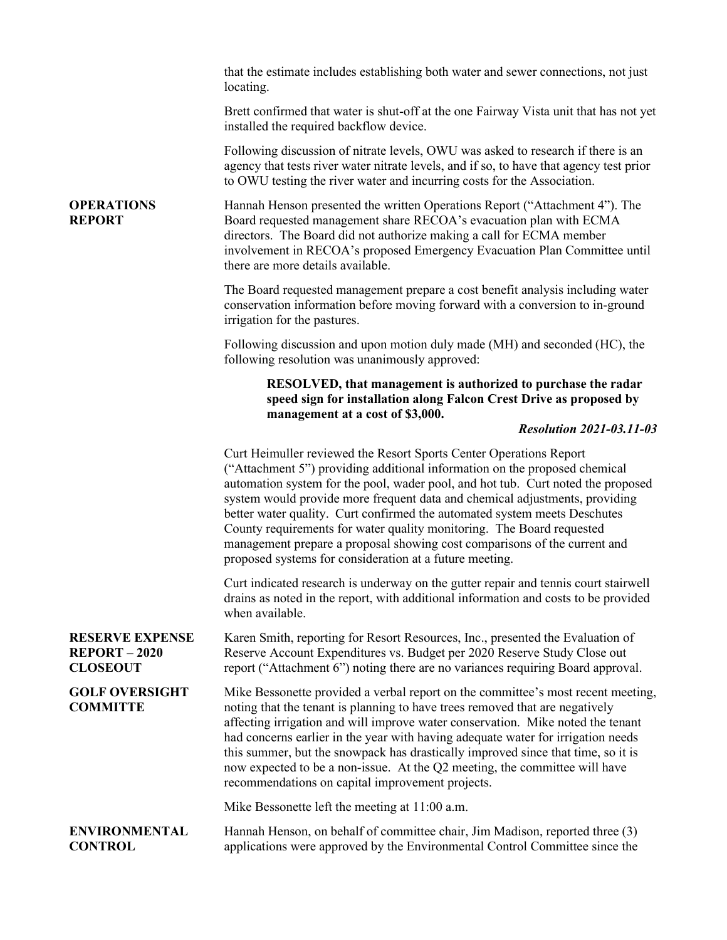|                                                                 | that the estimate includes establishing both water and sewer connections, not just<br>locating.                                                                                                                                                                                                                                                                                                                                                                                                                                                                                                                   |
|-----------------------------------------------------------------|-------------------------------------------------------------------------------------------------------------------------------------------------------------------------------------------------------------------------------------------------------------------------------------------------------------------------------------------------------------------------------------------------------------------------------------------------------------------------------------------------------------------------------------------------------------------------------------------------------------------|
|                                                                 | Brett confirmed that water is shut-off at the one Fairway Vista unit that has not yet<br>installed the required backflow device.                                                                                                                                                                                                                                                                                                                                                                                                                                                                                  |
|                                                                 | Following discussion of nitrate levels, OWU was asked to research if there is an<br>agency that tests river water nitrate levels, and if so, to have that agency test prior<br>to OWU testing the river water and incurring costs for the Association.                                                                                                                                                                                                                                                                                                                                                            |
| <b>OPERATIONS</b><br><b>REPORT</b>                              | Hannah Henson presented the written Operations Report ("Attachment 4"). The<br>Board requested management share RECOA's evacuation plan with ECMA<br>directors. The Board did not authorize making a call for ECMA member<br>involvement in RECOA's proposed Emergency Evacuation Plan Committee until<br>there are more details available.                                                                                                                                                                                                                                                                       |
|                                                                 | The Board requested management prepare a cost benefit analysis including water<br>conservation information before moving forward with a conversion to in-ground<br>irrigation for the pastures.                                                                                                                                                                                                                                                                                                                                                                                                                   |
|                                                                 | Following discussion and upon motion duly made (MH) and seconded (HC), the<br>following resolution was unanimously approved:                                                                                                                                                                                                                                                                                                                                                                                                                                                                                      |
|                                                                 | RESOLVED, that management is authorized to purchase the radar<br>speed sign for installation along Falcon Crest Drive as proposed by<br>management at a cost of \$3,000.                                                                                                                                                                                                                                                                                                                                                                                                                                          |
|                                                                 | <b>Resolution 2021-03.11-03</b>                                                                                                                                                                                                                                                                                                                                                                                                                                                                                                                                                                                   |
|                                                                 | Curt Heimuller reviewed the Resort Sports Center Operations Report<br>("Attachment 5") providing additional information on the proposed chemical<br>automation system for the pool, wader pool, and hot tub. Curt noted the proposed<br>system would provide more frequent data and chemical adjustments, providing<br>better water quality. Curt confirmed the automated system meets Deschutes<br>County requirements for water quality monitoring. The Board requested<br>management prepare a proposal showing cost comparisons of the current and<br>proposed systems for consideration at a future meeting. |
|                                                                 | Curt indicated research is underway on the gutter repair and tennis court stairwell<br>drains as noted in the report, with additional information and costs to be provided<br>when available.                                                                                                                                                                                                                                                                                                                                                                                                                     |
| <b>RESERVE EXPENSE</b><br><b>REPORT-2020</b><br><b>CLOSEOUT</b> | Karen Smith, reporting for Resort Resources, Inc., presented the Evaluation of<br>Reserve Account Expenditures vs. Budget per 2020 Reserve Study Close out<br>report ("Attachment 6") noting there are no variances requiring Board approval.                                                                                                                                                                                                                                                                                                                                                                     |
| <b>GOLF OVERSIGHT</b><br><b>COMMITTE</b>                        | Mike Bessonette provided a verbal report on the committee's most recent meeting,<br>noting that the tenant is planning to have trees removed that are negatively<br>affecting irrigation and will improve water conservation. Mike noted the tenant<br>had concerns earlier in the year with having adequate water for irrigation needs<br>this summer, but the snowpack has drastically improved since that time, so it is<br>now expected to be a non-issue. At the Q2 meeting, the committee will have<br>recommendations on capital improvement projects.                                                     |
|                                                                 | Mike Bessonette left the meeting at 11:00 a.m.                                                                                                                                                                                                                                                                                                                                                                                                                                                                                                                                                                    |
| <b>ENVIRONMENTAL</b><br><b>CONTROL</b>                          | Hannah Henson, on behalf of committee chair, Jim Madison, reported three (3)<br>applications were approved by the Environmental Control Committee since the                                                                                                                                                                                                                                                                                                                                                                                                                                                       |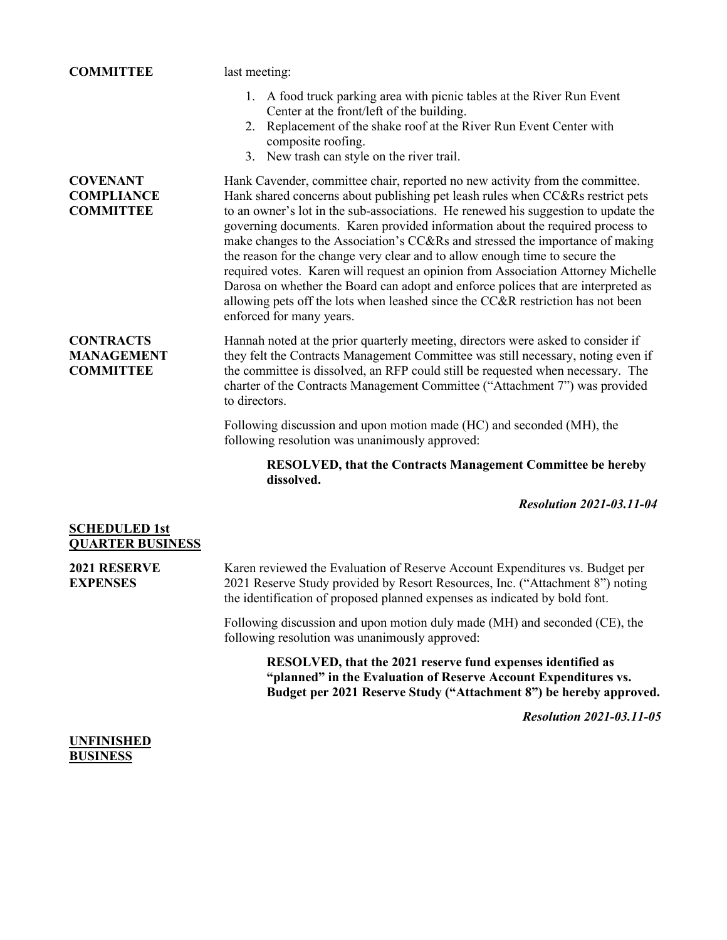| <b>COMMITTEE</b>                                          | last meeting:                                                                                                                                                                                                                                                                                                                                                                                                                                                                                                                                                                                                                                                                                                 |
|-----------------------------------------------------------|---------------------------------------------------------------------------------------------------------------------------------------------------------------------------------------------------------------------------------------------------------------------------------------------------------------------------------------------------------------------------------------------------------------------------------------------------------------------------------------------------------------------------------------------------------------------------------------------------------------------------------------------------------------------------------------------------------------|
|                                                           | 1. A food truck parking area with picnic tables at the River Run Event<br>Center at the front/left of the building.<br>2. Replacement of the shake roof at the River Run Event Center with<br>composite roofing.<br>3. New trash can style on the river trail.                                                                                                                                                                                                                                                                                                                                                                                                                                                |
| <b>COVENANT</b>                                           | Hank Cavender, committee chair, reported no new activity from the committee.                                                                                                                                                                                                                                                                                                                                                                                                                                                                                                                                                                                                                                  |
| <b>COMPLIANCE</b><br><b>COMMITTEE</b>                     | Hank shared concerns about publishing pet leash rules when CC&Rs restrict pets<br>to an owner's lot in the sub-associations. He renewed his suggestion to update the<br>governing documents. Karen provided information about the required process to<br>make changes to the Association's CC&Rs and stressed the importance of making<br>the reason for the change very clear and to allow enough time to secure the<br>required votes. Karen will request an opinion from Association Attorney Michelle<br>Darosa on whether the Board can adopt and enforce polices that are interpreted as<br>allowing pets off the lots when leashed since the CC&R restriction has not been<br>enforced for many years. |
| <b>CONTRACTS</b><br><b>MANAGEMENT</b><br><b>COMMITTEE</b> | Hannah noted at the prior quarterly meeting, directors were asked to consider if<br>they felt the Contracts Management Committee was still necessary, noting even if<br>the committee is dissolved, an RFP could still be requested when necessary. The<br>charter of the Contracts Management Committee ("Attachment 7") was provided<br>to directors.                                                                                                                                                                                                                                                                                                                                                       |
|                                                           | Following discussion and upon motion made (HC) and seconded (MH), the<br>following resolution was unanimously approved:                                                                                                                                                                                                                                                                                                                                                                                                                                                                                                                                                                                       |
|                                                           | <b>RESOLVED, that the Contracts Management Committee be hereby</b><br>dissolved.                                                                                                                                                                                                                                                                                                                                                                                                                                                                                                                                                                                                                              |
|                                                           | <b>Resolution 2021-03.11-04</b>                                                                                                                                                                                                                                                                                                                                                                                                                                                                                                                                                                                                                                                                               |

| <b>SCHEDULED 1st</b>    |
|-------------------------|
| <b>QUARTER BUSINESS</b> |

**2021 RESERVE EXPENSES** Karen reviewed the Evaluation of Reserve Account Expenditures vs. Budget per 2021 Reserve Study provided by Resort Resources, Inc. ("Attachment 8") noting the identification of proposed planned expenses as indicated by bold font.

Following discussion and upon motion duly made (MH) and seconded (CE), the following resolution was unanimously approved:

**RESOLVED, that the 2021 reserve fund expenses identified as "planned" in the Evaluation of Reserve Account Expenditures vs. Budget per 2021 Reserve Study ("Attachment 8") be hereby approved.**

*Resolution 2021-03.11-05*

## **UNFINISHED BUSINESS**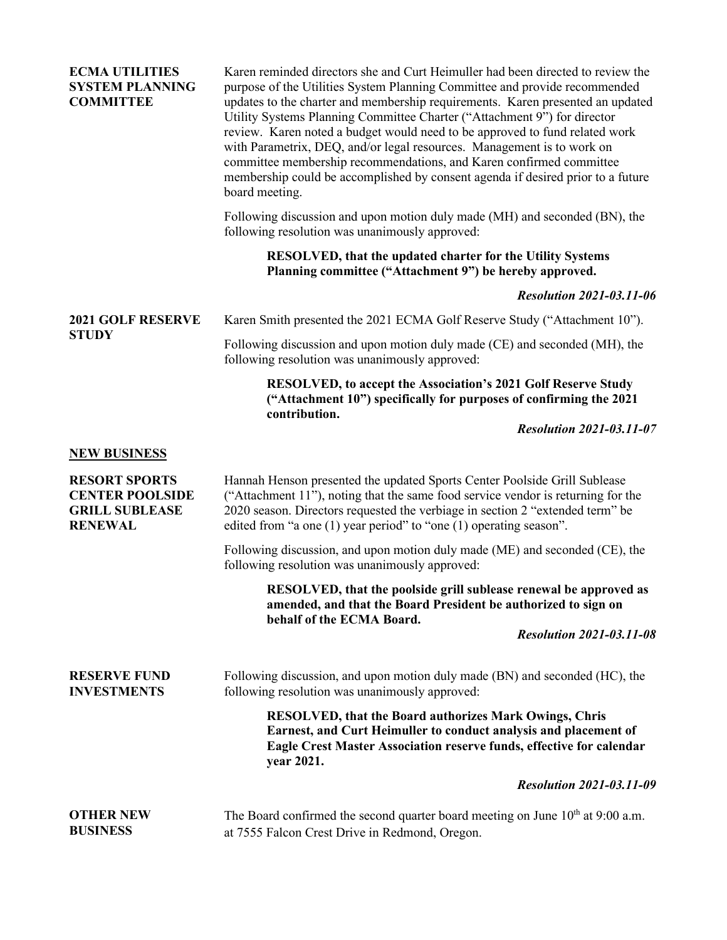| <b>ECMA UTILITIES</b><br><b>SYSTEM PLANNING</b><br><b>COMMITTEE</b>                       | Karen reminded directors she and Curt Heimuller had been directed to review the<br>purpose of the Utilities System Planning Committee and provide recommended<br>updates to the charter and membership requirements. Karen presented an updated<br>Utility Systems Planning Committee Charter ("Attachment 9") for director<br>review. Karen noted a budget would need to be approved to fund related work<br>with Parametrix, DEQ, and/or legal resources. Management is to work on<br>committee membership recommendations, and Karen confirmed committee<br>membership could be accomplished by consent agenda if desired prior to a future<br>board meeting. |
|-------------------------------------------------------------------------------------------|------------------------------------------------------------------------------------------------------------------------------------------------------------------------------------------------------------------------------------------------------------------------------------------------------------------------------------------------------------------------------------------------------------------------------------------------------------------------------------------------------------------------------------------------------------------------------------------------------------------------------------------------------------------|
|                                                                                           | Following discussion and upon motion duly made (MH) and seconded (BN), the<br>following resolution was unanimously approved:                                                                                                                                                                                                                                                                                                                                                                                                                                                                                                                                     |
|                                                                                           | <b>RESOLVED, that the updated charter for the Utility Systems</b><br>Planning committee ("Attachment 9") be hereby approved.                                                                                                                                                                                                                                                                                                                                                                                                                                                                                                                                     |
|                                                                                           | <b>Resolution 2021-03.11-06</b>                                                                                                                                                                                                                                                                                                                                                                                                                                                                                                                                                                                                                                  |
| <b>2021 GOLF RESERVE</b>                                                                  | Karen Smith presented the 2021 ECMA Golf Reserve Study ("Attachment 10").                                                                                                                                                                                                                                                                                                                                                                                                                                                                                                                                                                                        |
| <b>STUDY</b>                                                                              | Following discussion and upon motion duly made (CE) and seconded (MH), the<br>following resolution was unanimously approved:                                                                                                                                                                                                                                                                                                                                                                                                                                                                                                                                     |
|                                                                                           | <b>RESOLVED, to accept the Association's 2021 Golf Reserve Study</b><br>("Attachment 10") specifically for purposes of confirming the 2021<br>contribution.                                                                                                                                                                                                                                                                                                                                                                                                                                                                                                      |
|                                                                                           | <b>Resolution 2021-03.11-07</b>                                                                                                                                                                                                                                                                                                                                                                                                                                                                                                                                                                                                                                  |
| <b>NEW BUSINESS</b>                                                                       |                                                                                                                                                                                                                                                                                                                                                                                                                                                                                                                                                                                                                                                                  |
| <b>RESORT SPORTS</b><br><b>CENTER POOLSIDE</b><br><b>GRILL SUBLEASE</b><br><b>RENEWAL</b> | Hannah Henson presented the updated Sports Center Poolside Grill Sublease<br>("Attachment 11"), noting that the same food service vendor is returning for the<br>2020 season. Directors requested the verbiage in section 2 "extended term" be<br>edited from "a one $(1)$ year period" to "one $(1)$ operating season".                                                                                                                                                                                                                                                                                                                                         |
|                                                                                           | Following discussion, and upon motion duly made (ME) and seconded (CE), the<br>following resolution was unanimously approved:                                                                                                                                                                                                                                                                                                                                                                                                                                                                                                                                    |
|                                                                                           | RESOLVED, that the poolside grill sublease renewal be approved as<br>amended, and that the Board President be authorized to sign on<br>behalf of the ECMA Board.                                                                                                                                                                                                                                                                                                                                                                                                                                                                                                 |
|                                                                                           | <b>Resolution 2021-03.11-08</b>                                                                                                                                                                                                                                                                                                                                                                                                                                                                                                                                                                                                                                  |
| <b>RESERVE FUND</b><br><b>INVESTMENTS</b>                                                 | Following discussion, and upon motion duly made (BN) and seconded (HC), the<br>following resolution was unanimously approved:                                                                                                                                                                                                                                                                                                                                                                                                                                                                                                                                    |
|                                                                                           | <b>RESOLVED, that the Board authorizes Mark Owings, Chris</b><br>Earnest, and Curt Heimuller to conduct analysis and placement of<br>Eagle Crest Master Association reserve funds, effective for calendar<br>year 2021.                                                                                                                                                                                                                                                                                                                                                                                                                                          |
|                                                                                           | <b>Resolution 2021-03.11-09</b>                                                                                                                                                                                                                                                                                                                                                                                                                                                                                                                                                                                                                                  |
| <b>OTHER NEW</b><br><b>BUSINESS</b>                                                       | The Board confirmed the second quarter board meeting on June $10th$ at 9:00 a.m.<br>at 7555 Falcon Crest Drive in Redmond, Oregon.                                                                                                                                                                                                                                                                                                                                                                                                                                                                                                                               |